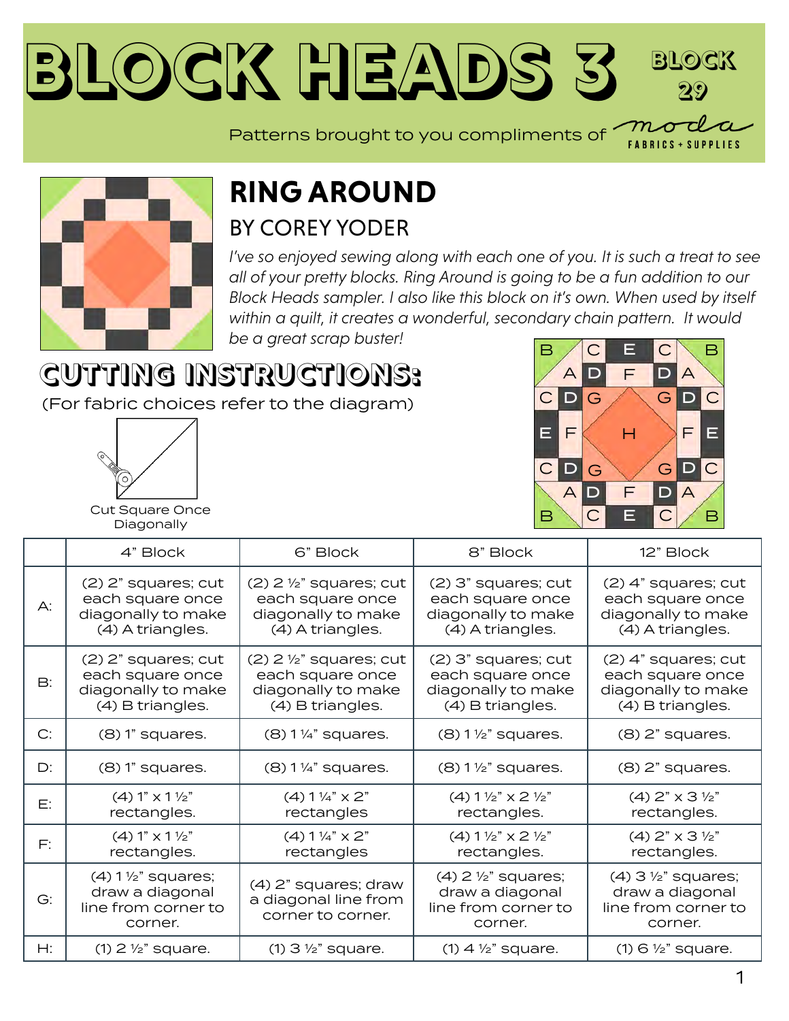#### **Block Heads [3](https://modafabrics.com) Block 29**  $m\sigma$

Patterns brought to you compliments of



#### **RING AROUND** BY [COREY YODER](https://modafabrics.com/designers/corey-yoder)

*I've so enjoyed sewing along with each one of you. It is such a treat to see all of your pretty blocks. Ring Around is going to be a fun addition to our Block Heads sampler. I also like this block on it's own. When used by itself within a quilt, it creates a wonderful, secondary chain pattern. It would be a great scrap buster!*

# **CUTTING INSTRUCTIONS:**

(For fabric choices refer to the diagram)



**FABRICS + SUPPLIES** 

| <u>,+</u><br>ı | c^<br>r<br>ביו<br>ı<br>í |
|----------------|--------------------------|

Cut Square Once Diagonally

|           | 4" Block                                                                              | 6" Block                                                                                           | 8" Block                                                                              | 12" Block                                                                             |
|-----------|---------------------------------------------------------------------------------------|----------------------------------------------------------------------------------------------------|---------------------------------------------------------------------------------------|---------------------------------------------------------------------------------------|
| A:        | (2) 2" squares; cut<br>each square once<br>diagonally to make<br>(4) A triangles.     | $(2)$ 2 $\frac{1}{2}$ " squares; cut<br>each square once<br>diagonally to make<br>(4) A triangles. | (2) 3" squares; cut<br>each square once<br>diagonally to make<br>(4) A triangles.     | (2) 4" squares; cut<br>each square once<br>diagonally to make<br>(4) A triangles.     |
| <b>B:</b> | (2) 2" squares; cut<br>each square once<br>diagonally to make<br>(4) B triangles.     | $(2)$ 2 $\frac{1}{2}$ " squares; cut<br>each square once<br>diagonally to make<br>(4) B triangles. | (2) 3" squares; cut<br>each square once<br>diagonally to make<br>(4) B triangles.     | (2) 4" squares; cut<br>each square once<br>diagonally to make<br>(4) B triangles.     |
| C:        | $(8)$ 1" squares.                                                                     | $(8)$ 1 ¼" squares.                                                                                | $(8)$ 1 $\frac{1}{2}$ " squares.                                                      | $(8)$ 2" squares.                                                                     |
| D:        | $(8)$ 1" squares.                                                                     | $(8)$ 1 1/4" squares.                                                                              | $(8)$ 1 $\frac{1}{2}$ " squares.                                                      | $(8)$ $2"$ squares.                                                                   |
| E:        | (4) 1" x 1 <sup>y</sup> 2"<br>rectangles.                                             | $(4) 1\frac{1}{4}$ x 2"<br>rectangles                                                              | $(4) 1 \frac{1}{2}$ $\times$ 2 $\frac{1}{2}$<br>rectangles.                           | $(4)$ 2" $\times$ 3 $\frac{1}{2}$ "<br>rectangles.                                    |
| F:        | (4) 1" x 1 <sup>y</sup> 2"<br>rectangles.                                             | $(4) 1\frac{1}{4}$ x 2"<br>rectangles                                                              | $(4) 1 \frac{1}{2}$ $\times$ 2 $\frac{1}{2}$<br>rectangles.                           | $(4)$ 2" $\times$ 3 $\frac{1}{2}$ "<br>rectangles.                                    |
| G:        | $(4)$ 1 $\frac{1}{2}$ " squares;<br>draw a diagonal<br>line from corner to<br>corner. | (4) 2" squares; draw<br>a diagonal line from<br>corner to corner.                                  | $(4)$ 2 $\frac{1}{2}$ " squares;<br>draw a diagonal<br>line from corner to<br>corner. | $(4)$ 3 $\frac{1}{2}$ " squares;<br>draw a diagonal<br>line from corner to<br>corner. |
| Н:        | $(1)$ 2 $\frac{1}{2}$ " square.                                                       | $(1)$ 3 $\frac{1}{2}$ " square.                                                                    | $(1)$ 4 $\frac{1}{2}$ " square.                                                       | $(1)$ 6 $\frac{1}{2}$ " square.                                                       |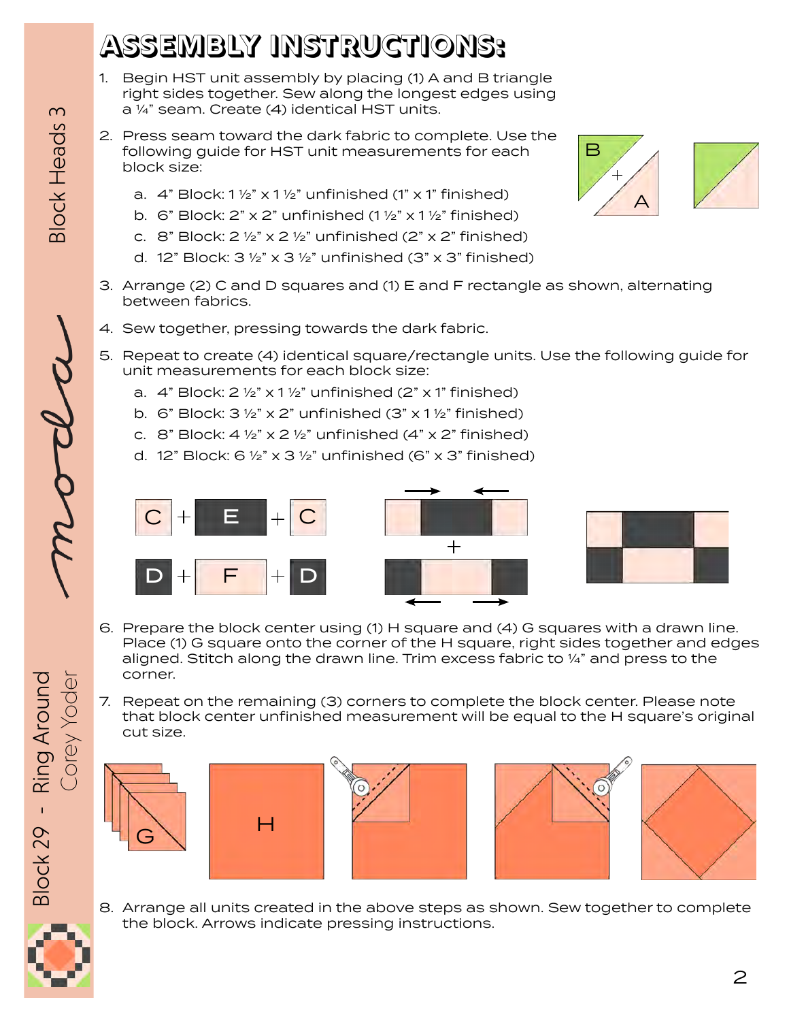## **ASSEMBLY INSTRUCTIONS:**

- 1. Begin HST unit assembly by placing (1) A and B triangle right sides together. Sew along the longest edges using a ¼" seam. Create (4) identical HST units.
- 2. Press seam toward the dark fabric to complete. Use the following guide for HST unit measurements for each block size:
	- a.  $4$ " Block:  $1\frac{1}{2}$ " x  $1\frac{1}{2}$ " unfinished (1" x 1" finished)
	- b. 6" Block:  $2$ " x  $2$ " unfinished (1  $\frac{1}{2}$ " x 1  $\frac{1}{2}$ " finished)
	- c. 8" Block:  $2 \frac{1}{2}$ " x  $2 \frac{1}{2}$ " unfinished ( $2$ " x  $2$ " finished)
	- d. 12" Block:  $3\frac{1}{2}$ " x  $3\frac{1}{2}$ " unfinished (3" x 3" finished)
- 3. Arrange (2) C and D squares and (1) E and F rectangle as shown, alternating between fabrics.
- 4. Sew together, pressing towards the dark fabric.
- 5. Repeat to create (4) identical square/rectangle units. Use the following guide for unit measurements for each block size:
	- a.  $4$ " Block:  $2 \frac{1}{2}$ " x 1 $\frac{1}{2}$ " unfinished (2" x 1" finished)
	- b. 6" Block:  $3\frac{1}{2}$ " x 2" unfinished (3" x 1  $\frac{1}{2}$ " finished)
	- c. 8" Block:  $4\frac{1}{2}$ " x 2  $\frac{1}{2}$ " unfinished (4" x 2" finished)
	- d. 12" Block:  $6\frac{1}{2}$ " x 3 $\frac{1}{2}$ " unfinished (6" x 3" finished)



- 6. Prepare the block center using (1) H square and (4) G squares with a drawn line. Place (1) G square onto the corner of the H square, right sides together and edges aligned. Stitch along the drawn line. Trim excess fabric to ¼" and press to the
- 7. Repeat on the remaining (3) corners to complete the block center. Please note that block center unfinished measurement will be equal to the H square's original cut size.



corner.









8. Arrange all units created in the above steps as shown. Sew together to complete the block. Arrows indicate pressing instructions.



Corey Yoder **Construct Contains and Constructed** Block Heads 3

**Block Heads 3**